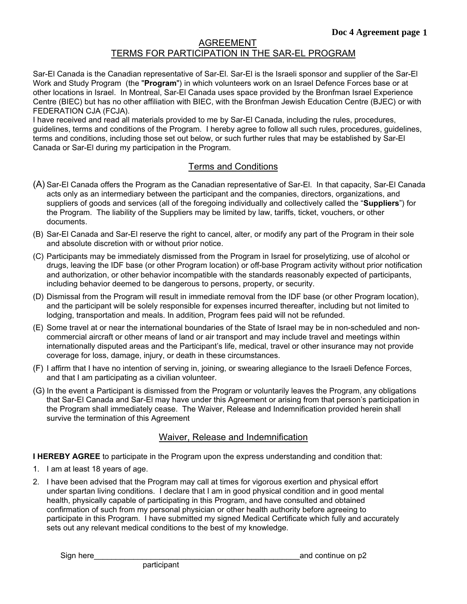## AGREEMENT TERMS FOR PARTICIPATION IN THE SAR-EL PROGRAM

Sar-El Canada is the Canadian representative of Sar-El. Sar-El is the Israeli sponsor and supplier of the Sar-El Work and Study Program (the "**Program**") in which volunteers work on an Israel Defence Forces base or at other locations in Israel. In Montreal, Sar-El Canada uses space provided by the Bronfman Israel Experience Centre (BIEC) but has no other affiliation with BIEC, with the Bronfman Jewish Education Centre (BJEC) or with FEDERATION CJA (FCJA)*.*

I have received and read all materials provided to me by Sar-El Canada, including the rules, procedures, guidelines, terms and conditions of the Program. I hereby agree to follow all such rules, procedures, guidelines, terms and conditions, including those set out below, or such further rules that may be established by Sar-El Canada or Sar-El during my participation in the Program.

## Terms and Conditions

- (A) Sar-El Canada offers the Program as the Canadian representative of Sar-El. In that capacity, Sar-El Canada acts only as an intermediary between the participant and the companies, directors, organizations, and suppliers of goods and services (all of the foregoing individually and collectively called the "**Suppliers**") for the Program. The liability of the Suppliers may be limited by law, tariffs, ticket, vouchers, or other documents.
- (B) Sar-El Canada and Sar-El reserve the right to cancel, alter, or modify any part of the Program in their sole and absolute discretion with or without prior notice.
- (C) Participants may be immediately dismissed from the Program in Israel for proselytizing, use of alcohol or drugs, leaving the IDF base (or other Program location) or off-base Program activity without prior notification and authorization, or other behavior incompatible with the standards reasonably expected of participants, including behavior deemed to be dangerous to persons, property, or security.
- (D) Dismissal from the Program will result in immediate removal from the IDF base (or other Program location), and the participant will be solely responsible for expenses incurred thereafter, including but not limited to lodging, transportation and meals. In addition, Program fees paid will not be refunded.
- (E) Some travel at or near the international boundaries of the State of Israel may be in non-scheduled and noncommercial aircraft or other means of land or air transport and may include travel and meetings within internationally disputed areas and the Participant's life, medical, travel or other insurance may not provide coverage for loss, damage, injury, or death in these circumstances.
- (F) I affirm that I have no intention of serving in, joining, or swearing allegiance to the Israeli Defence Forces, and that I am participating as a civilian volunteer.
- (G) In the event a Participant is dismissed from the Program or voluntarily leaves the Program, any obligations that Sar-El Canada and Sar-El may have under this Agreement or arising from that person's participation in the Program shall immediately cease. The Waiver, Release and Indemnification provided herein shall survive the termination of this Agreement

## Waiver, Release and Indemnification

**I HEREBY AGREE** to participate in the Program upon the express understanding and condition that:

- 1. I am at least 18 years of age.
- 2. I have been advised that the Program may call at times for vigorous exertion and physical effort under spartan living conditions. I declare that I am in good physical condition and in good mental health, physically capable of participating in this Program, and have consulted and obtained confirmation of such from my personal physician or other health authority before agreeing to participate in this Program. I have submitted my signed Medical Certificate which fully and accurately sets out any relevant medical conditions to the best of my knowledge.

participant

Sign here **Solution** and continue on p2